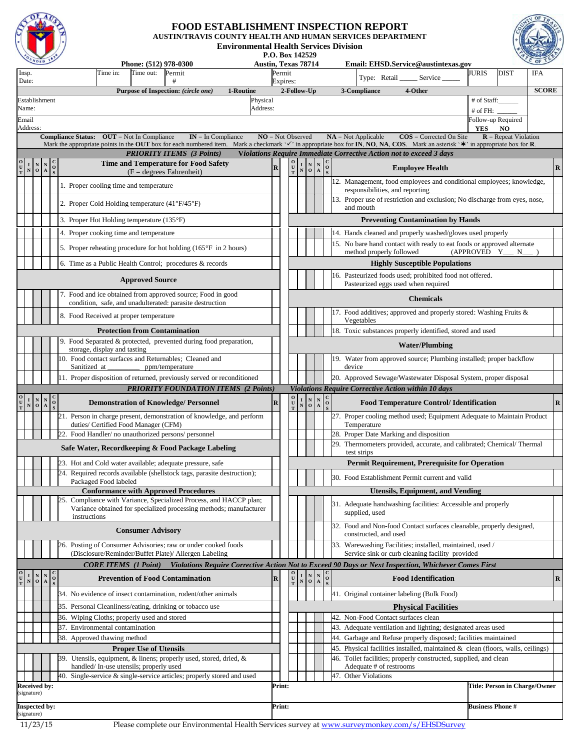

## **FOOD ESTABLISHMENT INSPECTION REPORT**

**AUSTIN/TRAVIS COUNTY HEALTH AND HUMAN SERVICES DEPARTMENT Environmental Health Services Division**



**P.O. Box 142529**

|                                                                                                                                      | $\sim$ 010                                                                                                      |                |     |              |                                                     | Phone: (512) 978-0300         |                                                                                                                                                                                | <b>Austin, Texas 78714</b> |             |                                                                                                  |                                 |                                                                             |  |  | Email: EHSD.Service@austintexas.gov                                                                                                                   |                                                |                            |              |                                     | $or$ $\sim$                   |
|--------------------------------------------------------------------------------------------------------------------------------------|-----------------------------------------------------------------------------------------------------------------|----------------|-----|--------------|-----------------------------------------------------|-------------------------------|--------------------------------------------------------------------------------------------------------------------------------------------------------------------------------|----------------------------|-------------|--------------------------------------------------------------------------------------------------|---------------------------------|-----------------------------------------------------------------------------|--|--|-------------------------------------------------------------------------------------------------------------------------------------------------------|------------------------------------------------|----------------------------|--------------|-------------------------------------|-------------------------------|
| Insp.<br>Date:                                                                                                                       |                                                                                                                 |                |     |              | Time in:                                            | Time out:                     | Permit                                                                                                                                                                         |                            |             | Permit                                                                                           |                                 |                                                                             |  |  | Type: Retail                                                                                                                                          |                                                | Service                    | <b>JURIS</b> | <b>DIST</b>                         | <b>IFA</b>                    |
|                                                                                                                                      |                                                                                                                 |                |     |              |                                                     |                               | Purpose of Inspection: (circle one)                                                                                                                                            | 1-Routine                  |             | Expires:<br>2-Follow-Up                                                                          |                                 |                                                                             |  |  | 3-Compliance                                                                                                                                          | 4-Other                                        |                            |              |                                     | <b>SCORE</b>                  |
| Establishment                                                                                                                        |                                                                                                                 |                |     |              |                                                     |                               |                                                                                                                                                                                | Physical                   |             |                                                                                                  |                                 |                                                                             |  |  |                                                                                                                                                       |                                                |                            | # of Staff:  |                                     |                               |
| Name:                                                                                                                                |                                                                                                                 |                |     |              |                                                     |                               |                                                                                                                                                                                | Address:                   |             |                                                                                                  |                                 |                                                                             |  |  |                                                                                                                                                       |                                                |                            | # of FH:     |                                     |                               |
| Email                                                                                                                                |                                                                                                                 |                |     |              |                                                     |                               |                                                                                                                                                                                |                            |             |                                                                                                  |                                 |                                                                             |  |  |                                                                                                                                                       |                                                |                            |              | Follow-up Required                  |                               |
| Address:                                                                                                                             |                                                                                                                 |                |     |              | <b>Compliance Status:</b> $OUT = Not In Compleance$ |                               | $IN = In Compliance$                                                                                                                                                           |                            |             | $NO = Not Observed$                                                                              |                                 |                                                                             |  |  | $NA = Not Applicable$                                                                                                                                 |                                                | $\cos$ = Corrected On Site | YES          | <b>NO</b><br>$R$ = Repeat Violation |                               |
|                                                                                                                                      |                                                                                                                 |                |     |              |                                                     |                               | Mark the appropriate points in the OUT box for each numbered item. Mark a checkmark 's' in appropriate box for IN, NO, NA, COS. Mark an asterisk '*' in appropriate box for R. |                            |             |                                                                                                  |                                 |                                                                             |  |  |                                                                                                                                                       |                                                |                            |              |                                     |                               |
|                                                                                                                                      |                                                                                                                 |                |     |              |                                                     |                               | <b>PRIORITY ITEMS (3 Points)</b>                                                                                                                                               |                            |             |                                                                                                  |                                 |                                                                             |  |  | <b>Violations Require Immediate Corrective Action not to exceed 3 days</b>                                                                            |                                                |                            |              |                                     |                               |
| $\begin{array}{c} \mathbf{O} \\ \mathbf{U} \\ \mathbf{T} \end{array}$                                                                | $\begin{array}{c c c} I & N & N & C \\ \hline N & O & A & S \\ \end{array}$                                     |                |     |              |                                                     |                               | Time and Temperature for Food Safety<br>$(F = degrees Fahrenheit)$                                                                                                             |                            | $\mathbf R$ | $_{\rm U}^{\rm O}$<br>$\mathbf T$                                                                | $\mathop{\bf N}\limits_{\bf N}$ | $\begin{array}{c c c}\nN & N & C \\ \hline\nO & A & S\n\end{array}$         |  |  |                                                                                                                                                       | <b>Employee Health</b>                         |                            |              |                                     | $\mathbf R$                   |
|                                                                                                                                      |                                                                                                                 |                |     |              |                                                     |                               |                                                                                                                                                                                |                            |             |                                                                                                  |                                 |                                                                             |  |  | 12. Management, food employees and conditional employees; knowledge,                                                                                  |                                                |                            |              |                                     |                               |
|                                                                                                                                      |                                                                                                                 |                |     |              | 1. Proper cooling time and temperature              |                               |                                                                                                                                                                                |                            |             |                                                                                                  |                                 |                                                                             |  |  | responsibilities, and reporting                                                                                                                       |                                                |                            |              |                                     |                               |
|                                                                                                                                      |                                                                                                                 |                |     |              |                                                     |                               | 2. Proper Cold Holding temperature $(41^{\circ}F/45^{\circ}F)$                                                                                                                 |                            |             |                                                                                                  |                                 |                                                                             |  |  | 13. Proper use of restriction and exclusion; No discharge from eyes, nose,                                                                            |                                                |                            |              |                                     |                               |
|                                                                                                                                      |                                                                                                                 |                |     |              |                                                     |                               |                                                                                                                                                                                |                            |             |                                                                                                  |                                 |                                                                             |  |  | and mouth                                                                                                                                             |                                                |                            |              |                                     |                               |
|                                                                                                                                      |                                                                                                                 |                |     |              | 3. Proper Hot Holding temperature (135°F)           |                               |                                                                                                                                                                                |                            |             |                                                                                                  |                                 |                                                                             |  |  |                                                                                                                                                       | <b>Preventing Contamination by Hands</b>       |                            |              |                                     |                               |
|                                                                                                                                      |                                                                                                                 |                |     |              | 4. Proper cooking time and temperature              |                               |                                                                                                                                                                                |                            |             |                                                                                                  |                                 |                                                                             |  |  | 14. Hands cleaned and properly washed/gloves used properly                                                                                            |                                                |                            |              |                                     |                               |
|                                                                                                                                      |                                                                                                                 |                |     |              |                                                     |                               | 5. Proper reheating procedure for hot holding $(165^{\circ}F \text{ in } 2 \text{ hours})$                                                                                     |                            |             |                                                                                                  |                                 |                                                                             |  |  | 15. No bare hand contact with ready to eat foods or approved alternate<br>method properly followed                                                    |                                                |                            | (APPROVED Y  | N                                   |                               |
|                                                                                                                                      |                                                                                                                 |                |     |              |                                                     |                               | 6. Time as a Public Health Control; procedures & records                                                                                                                       |                            |             |                                                                                                  |                                 |                                                                             |  |  |                                                                                                                                                       |                                                |                            |              |                                     |                               |
|                                                                                                                                      |                                                                                                                 |                |     |              |                                                     |                               |                                                                                                                                                                                |                            |             | <b>Highly Susceptible Populations</b><br>6. Pasteurized foods used; prohibited food not offered. |                                 |                                                                             |  |  |                                                                                                                                                       |                                                |                            |              |                                     |                               |
|                                                                                                                                      |                                                                                                                 |                |     |              |                                                     | <b>Approved Source</b>        |                                                                                                                                                                                |                            |             | Pasteurized eggs used when required                                                              |                                 |                                                                             |  |  |                                                                                                                                                       |                                                |                            |              |                                     |                               |
|                                                                                                                                      |                                                                                                                 |                |     |              |                                                     |                               | 7. Food and ice obtained from approved source; Food in good<br>condition, safe, and unadulterated: parasite destruction                                                        |                            |             |                                                                                                  |                                 |                                                                             |  |  |                                                                                                                                                       | <b>Chemicals</b>                               |                            |              |                                     |                               |
|                                                                                                                                      |                                                                                                                 |                |     |              | 8. Food Received at proper temperature              |                               |                                                                                                                                                                                |                            |             |                                                                                                  |                                 |                                                                             |  |  | 7. Food additives; approved and properly stored: Washing Fruits &                                                                                     |                                                |                            |              |                                     |                               |
|                                                                                                                                      |                                                                                                                 |                |     |              |                                                     |                               | <b>Protection from Contamination</b>                                                                                                                                           |                            |             |                                                                                                  |                                 |                                                                             |  |  | Vegetables<br>18. Toxic substances properly identified, stored and used                                                                               |                                                |                            |              |                                     |                               |
|                                                                                                                                      |                                                                                                                 |                |     |              |                                                     |                               | 9. Food Separated & protected, prevented during food preparation,                                                                                                              |                            |             |                                                                                                  |                                 |                                                                             |  |  |                                                                                                                                                       | <b>Water/Plumbing</b>                          |                            |              |                                     |                               |
|                                                                                                                                      |                                                                                                                 |                |     |              | storage, display and tasting                        |                               | 10. Food contact surfaces and Returnables; Cleaned and                                                                                                                         |                            |             |                                                                                                  |                                 |                                                                             |  |  | 9. Water from approved source; Plumbing installed; proper backflow                                                                                    |                                                |                            |              |                                     |                               |
|                                                                                                                                      |                                                                                                                 |                |     | Sanitized at |                                                     |                               | ppm/temperature                                                                                                                                                                |                            |             |                                                                                                  |                                 |                                                                             |  |  | device                                                                                                                                                |                                                |                            |              |                                     |                               |
|                                                                                                                                      |                                                                                                                 |                |     |              |                                                     |                               | 11. Proper disposition of returned, previously served or reconditioned                                                                                                         |                            |             |                                                                                                  |                                 |                                                                             |  |  | 20. Approved Sewage/Wastewater Disposal System, proper disposal                                                                                       |                                                |                            |              |                                     |                               |
|                                                                                                                                      |                                                                                                                 |                |     |              |                                                     |                               | <b>PRIORITY FOUNDATION ITEMS (2 Points)</b>                                                                                                                                    |                            |             |                                                                                                  |                                 |                                                                             |  |  | <b>Violations Require Corrective Action within 10 days</b>                                                                                            |                                                |                            |              |                                     |                               |
| $\begin{bmatrix} 0 \\ U \\ T \end{bmatrix}$                                                                                          | $\begin{array}{c c c} \textbf{I} & \textbf{N} & \textbf{N} \\ \textbf{N} & \textbf{O} & \textbf{A} \end{array}$ | $\frac{8}{18}$ |     |              |                                                     |                               | <b>Demonstration of Knowledge/ Personnel</b>                                                                                                                                   |                            | ${\bf R}$   | $\begin{smallmatrix} \mathbf{O} \\ \mathbf{U} \\ \mathbf{T} \end{smallmatrix}$                   | $\frac{\mathbf{I}}{\mathbf{N}}$ | $\begin{array}{c c} N & N & C \\ \hline O & A & O \\ \hline \end{array}$    |  |  |                                                                                                                                                       | <b>Food Temperature Control/Identification</b> |                            |              |                                     | $\bf R$                       |
|                                                                                                                                      |                                                                                                                 |                |     |              | duties/ Certified Food Manager (CFM)                |                               | Person in charge present, demonstration of knowledge, and perform                                                                                                              |                            |             |                                                                                                  |                                 |                                                                             |  |  | 27. Proper cooling method used; Equipment Adequate to Maintain Product<br>Temperature                                                                 |                                                |                            |              |                                     |                               |
|                                                                                                                                      |                                                                                                                 |                |     |              |                                                     |                               | 22. Food Handler/no unauthorized persons/personnel                                                                                                                             |                            |             |                                                                                                  |                                 |                                                                             |  |  | 28. Proper Date Marking and disposition                                                                                                               |                                                |                            |              |                                     |                               |
|                                                                                                                                      |                                                                                                                 |                |     |              |                                                     |                               | Safe Water, Recordkeeping & Food Package Labeling                                                                                                                              |                            |             |                                                                                                  |                                 |                                                                             |  |  | 29. Thermometers provided, accurate, and calibrated; Chemical/ Thermal                                                                                |                                                |                            |              |                                     |                               |
|                                                                                                                                      |                                                                                                                 |                |     |              |                                                     |                               |                                                                                                                                                                                |                            |             |                                                                                                  |                                 |                                                                             |  |  | test strips                                                                                                                                           |                                                |                            |              |                                     |                               |
|                                                                                                                                      |                                                                                                                 |                |     |              |                                                     |                               | 23. Hot and Cold water available; adequate pressure, safe                                                                                                                      |                            |             |                                                                                                  |                                 |                                                                             |  |  | <b>Permit Requirement, Prerequisite for Operation</b>                                                                                                 |                                                |                            |              |                                     |                               |
|                                                                                                                                      |                                                                                                                 |                | 24. |              | Packaged Food labeled                               |                               | Required records available (shellstock tags, parasite destruction);                                                                                                            |                            |             |                                                                                                  |                                 |                                                                             |  |  | 30. Food Establishment Permit current and valid                                                                                                       |                                                |                            |              |                                     |                               |
|                                                                                                                                      |                                                                                                                 |                |     |              |                                                     |                               | <b>Conformance with Approved Procedures</b>                                                                                                                                    |                            |             |                                                                                                  |                                 |                                                                             |  |  |                                                                                                                                                       | <b>Utensils, Equipment, and Vending</b>        |                            |              |                                     |                               |
|                                                                                                                                      |                                                                                                                 |                | 25. |              |                                                     |                               | Compliance with Variance, Specialized Process, and HACCP plan;                                                                                                                 |                            |             |                                                                                                  |                                 |                                                                             |  |  | 31. Adequate handwashing facilities: Accessible and properly                                                                                          |                                                |                            |              |                                     |                               |
|                                                                                                                                      |                                                                                                                 |                |     | instructions |                                                     |                               | Variance obtained for specialized processing methods; manufacturer                                                                                                             |                            |             |                                                                                                  |                                 |                                                                             |  |  | supplied, used                                                                                                                                        |                                                |                            |              |                                     |                               |
|                                                                                                                                      |                                                                                                                 |                |     |              |                                                     |                               |                                                                                                                                                                                |                            |             |                                                                                                  |                                 |                                                                             |  |  | 32. Food and Non-food Contact surfaces cleanable, properly designed,                                                                                  |                                                |                            |              |                                     |                               |
|                                                                                                                                      |                                                                                                                 |                |     |              |                                                     | <b>Consumer Advisory</b>      |                                                                                                                                                                                |                            |             |                                                                                                  |                                 |                                                                             |  |  | constructed, and used                                                                                                                                 |                                                |                            |              |                                     |                               |
|                                                                                                                                      |                                                                                                                 |                |     |              |                                                     |                               | 26. Posting of Consumer Advisories; raw or under cooked foods<br>(Disclosure/Reminder/Buffet Plate)/ Allergen Labeling                                                         |                            |             |                                                                                                  |                                 |                                                                             |  |  | 33. Warewashing Facilities; installed, maintained, used /<br>Service sink or curb cleaning facility provided                                          |                                                |                            |              |                                     |                               |
|                                                                                                                                      |                                                                                                                 |                |     |              | <b>CORE ITEMS</b> (1 Point)                         |                               | Violations Require Corrective Action Not to Exceed 90 Days or Next Inspection, Whichever Comes First                                                                           |                            |             |                                                                                                  |                                 |                                                                             |  |  |                                                                                                                                                       |                                                |                            |              |                                     |                               |
| $\begin{array}{c c c} I & N & N & C \\ \hline N & O & A & O \\ \end{array}$<br>$\begin{smallmatrix} 0 \ 0 \ 0 \ 0 \end{smallmatrix}$ |                                                                                                                 |                |     |              |                                                     |                               | <b>Prevention of Food Contamination</b>                                                                                                                                        |                            | ${\bf R}$   | $\begin{array}{c} \mathbf{O} \\ \mathbf{U} \\ \mathbf{T} \end{array}$                            |                                 | $\begin{array}{c c c} I & N & N & C \\ \hline N & O & A & O \\ \end{array}$ |  |  |                                                                                                                                                       | <b>Food Identification</b>                     |                            |              |                                     | $\bf{R}$                      |
|                                                                                                                                      |                                                                                                                 |                |     |              |                                                     |                               |                                                                                                                                                                                |                            |             |                                                                                                  |                                 |                                                                             |  |  |                                                                                                                                                       |                                                |                            |              |                                     |                               |
|                                                                                                                                      |                                                                                                                 |                |     |              |                                                     |                               | 34. No evidence of insect contamination, rodent/other animals                                                                                                                  |                            |             |                                                                                                  |                                 |                                                                             |  |  | 41. Original container labeling (Bulk Food)                                                                                                           |                                                |                            |              |                                     |                               |
|                                                                                                                                      |                                                                                                                 |                |     |              |                                                     |                               | 35. Personal Cleanliness/eating, drinking or tobacco use                                                                                                                       |                            |             |                                                                                                  |                                 |                                                                             |  |  |                                                                                                                                                       | <b>Physical Facilities</b>                     |                            |              |                                     |                               |
|                                                                                                                                      |                                                                                                                 |                |     |              | 36. Wiping Cloths; properly used and stored         |                               |                                                                                                                                                                                |                            |             |                                                                                                  |                                 |                                                                             |  |  | 42. Non-Food Contact surfaces clean                                                                                                                   |                                                |                            |              |                                     |                               |
|                                                                                                                                      |                                                                                                                 |                |     |              | 37. Environmental contamination                     |                               |                                                                                                                                                                                |                            |             |                                                                                                  |                                 |                                                                             |  |  | 43. Adequate ventilation and lighting; designated areas used                                                                                          |                                                |                            |              |                                     |                               |
|                                                                                                                                      |                                                                                                                 |                |     |              | 38. Approved thawing method                         |                               |                                                                                                                                                                                |                            |             |                                                                                                  |                                 |                                                                             |  |  | 44. Garbage and Refuse properly disposed; facilities maintained<br>45. Physical facilities installed, maintained $\&$ clean (floors, walls, ceilings) |                                                |                            |              |                                     |                               |
|                                                                                                                                      |                                                                                                                 |                |     |              |                                                     | <b>Proper Use of Utensils</b> | 39. Utensils, equipment, & linens; properly used, stored, dried, &                                                                                                             |                            |             |                                                                                                  |                                 |                                                                             |  |  | 46. Toilet facilities; properly constructed, supplied, and clean                                                                                      |                                                |                            |              |                                     |                               |
|                                                                                                                                      |                                                                                                                 |                |     |              | handled/In-use utensils; properly used              |                               |                                                                                                                                                                                |                            |             |                                                                                                  |                                 |                                                                             |  |  | Adequate # of restrooms                                                                                                                               |                                                |                            |              |                                     |                               |
|                                                                                                                                      |                                                                                                                 |                |     |              |                                                     |                               | 40. Single-service & single-service articles; properly stored and used                                                                                                         |                            |             |                                                                                                  |                                 |                                                                             |  |  | 47. Other Violations                                                                                                                                  |                                                |                            |              |                                     |                               |
| <b>Received by:</b><br>signature)                                                                                                    |                                                                                                                 |                |     |              |                                                     |                               |                                                                                                                                                                                |                            | Print:      |                                                                                                  |                                 |                                                                             |  |  |                                                                                                                                                       |                                                |                            |              |                                     | Title: Person in Charge/Owner |
|                                                                                                                                      |                                                                                                                 |                |     |              |                                                     |                               |                                                                                                                                                                                |                            |             |                                                                                                  |                                 |                                                                             |  |  |                                                                                                                                                       |                                                |                            |              |                                     |                               |
| <b>Inspected by:</b><br>(signature)                                                                                                  |                                                                                                                 |                |     |              |                                                     |                               |                                                                                                                                                                                | Print:                     |             |                                                                                                  |                                 |                                                                             |  |  | <b>Business Phone#</b>                                                                                                                                |                                                |                            |              |                                     |                               |